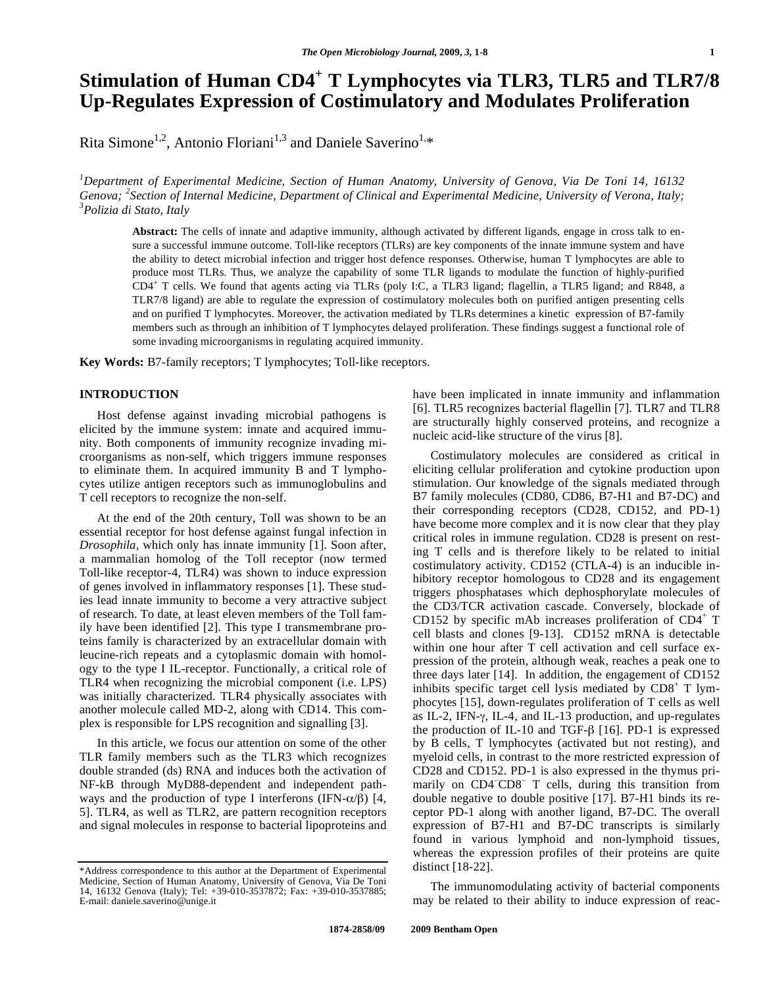# **Stimulation of Human CD4<sup>+</sup> T Lymphocytes via TLR3, TLR5 and TLR7/8 Up-Regulates Expression of Costimulatory and Modulates Proliferation**

Rita Simone<sup>1,2</sup>, Antonio Floriani<sup>1,3</sup> and Daniele Saverino<sup>1,\*</sup>

*1 Department of Experimental Medicine, Section of Human Anatomy, University of Genova, Via De Toni 14, 16132*  Genova; <sup>2</sup> Section of Internal Medicine, Department of Clinical and Experimental Medicine, University of Verona, Italy;<br><sup>3</sup> Polizia di State Italy *Polizia di Stato, Italy* 

**Abstract:** The cells of innate and adaptive immunity, although activated by different ligands, engage in cross talk to ensure a successful immune outcome. Toll-like receptors (TLRs) are key components of the innate immune system and have the ability to detect microbial infection and trigger host defence responses. Otherwise, human T lymphocytes are able to produce most TLRs. Thus, we analyze the capability of some TLR ligands to modulate the function of highly-purified CD4<sup>+</sup> T cells. We found that agents acting via TLRs (poly I:C, a TLR3 ligand; flagellin, a TLR5 ligand; and R848, a TLR7/8 ligand) are able to regulate the expression of costimulatory molecules both on purified antigen presenting cells and on purified T lymphocytes. Moreover, the activation mediated by TLRs determines a kinetic expression of B7-family members such as through an inhibition of T lymphocytes delayed proliferation. These findings suggest a functional role of some invading microorganisms in regulating acquired immunity.

**Key Words:** B7-family receptors; T lymphocytes; Toll-like receptors.

# **INTRODUCTION**

Host defense against invading microbial pathogens is elicited by the immune system: innate and acquired immunity. Both components of immunity recognize invading microorganisms as non-self, which triggers immune responses to eliminate them. In acquired immunity B and T lymphocytes utilize antigen receptors such as immunoglobulins and T cell receptors to recognize the non-self.

At the end of the 20th century, Toll was shown to be an essential receptor for host defense against fungal infection in *Drosophila*, which only has innate immunity [1]. Soon after, a mammalian homolog of the Toll receptor (now termed Toll-like receptor-4, TLR4) was shown to induce expression of genes involved in inflammatory responses [1]. These studies lead innate immunity to become a very attractive subject of research. To date, at least eleven members of the Toll family have been identified [2]. This type I transmembrane proteins family is characterized by an extracellular domain with leucine-rich repeats and a cytoplasmic domain with homology to the type I IL-receptor. Functionally, a critical role of TLR4 when recognizing the microbial component (i.e. LPS) was initially characterized. TLR4 physically associates with another molecule called MD-2, along with CD14. This complex is responsible for LPS recognition and signalling [3].

In this article, we focus our attention on some of the other TLR family members such as the TLR3 which recognizes double stranded (ds) RNA and induces both the activation of NF-kB through MyD88-dependent and independent pathways and the production of type I interferons (IFN- $\alpha/\beta$ ) [4, 5]. TLR4, as well as TLR2, are pattern recognition receptors and signal molecules in response to bacterial lipoproteins and have been implicated in innate immunity and inflammation [6]. TLR5 recognizes bacterial flagellin [7]. TLR7 and TLR8 are structurally highly conserved proteins, and recognize a nucleic acid-like structure of the virus [8].

Costimulatory molecules are considered as critical in eliciting cellular proliferation and cytokine production upon stimulation. Our knowledge of the signals mediated through B7 family molecules (CD80, CD86, B7-H1 and B7-DC) and their corresponding receptors (CD28, CD152, and PD-1) have become more complex and it is now clear that they play critical roles in immune regulation. CD28 is present on resting T cells and is therefore likely to be related to initial costimulatory activity. CD152 (CTLA-4) is an inducible inhibitory receptor homologous to CD28 and its engagement triggers phosphatases which dephosphorylate molecules of the CD3/TCR activation cascade. Conversely, blockade of CD152 by specific mAb increases proliferation of  $CD4^+$  T cell blasts and clones [9-13]. CD152 mRNA is detectable within one hour after T cell activation and cell surface expression of the protein, although weak, reaches a peak one to three days later [14]. In addition, the engagement of CD152 inhibits specific target cell lysis mediated by CD8<sup>+</sup> T lymphocytes [15], down-regulates proliferation of T cells as well as IL-2, IFN- $\gamma$ , IL-4, and IL-13 production, and up-regulates the production of IL-10 and TGF- $\beta$  [16]. PD-1 is expressed by B cells, T lymphocytes (activated but not resting), and myeloid cells, in contrast to the more restricted expression of CD28 and CD152. PD-1 is also expressed in the thymus primarily on CD4<sup>-</sup>CD8<sup>-</sup> T cells, during this transition from double negative to double positive [17]. B7-H1 binds its receptor PD-1 along with another ligand, B7-DC. The overall expression of B7-H1 and B7-DC transcripts is similarly found in various lymphoid and non-lymphoid tissues, whereas the expression profiles of their proteins are quite distinct [18-22].

The immunomodulating activity of bacterial components may be related to their ability to induce expression of reac-

<sup>\*</sup>Address correspondence to this author at the Department of Experimental Medicine, Section of Human Anatomy, University of Genova, Via De Toni 14, 16132 Genova (Italy); Tel: +39-010-3537872; Fax: +39-010-3537885; E-mail: daniele.saverino@unige.it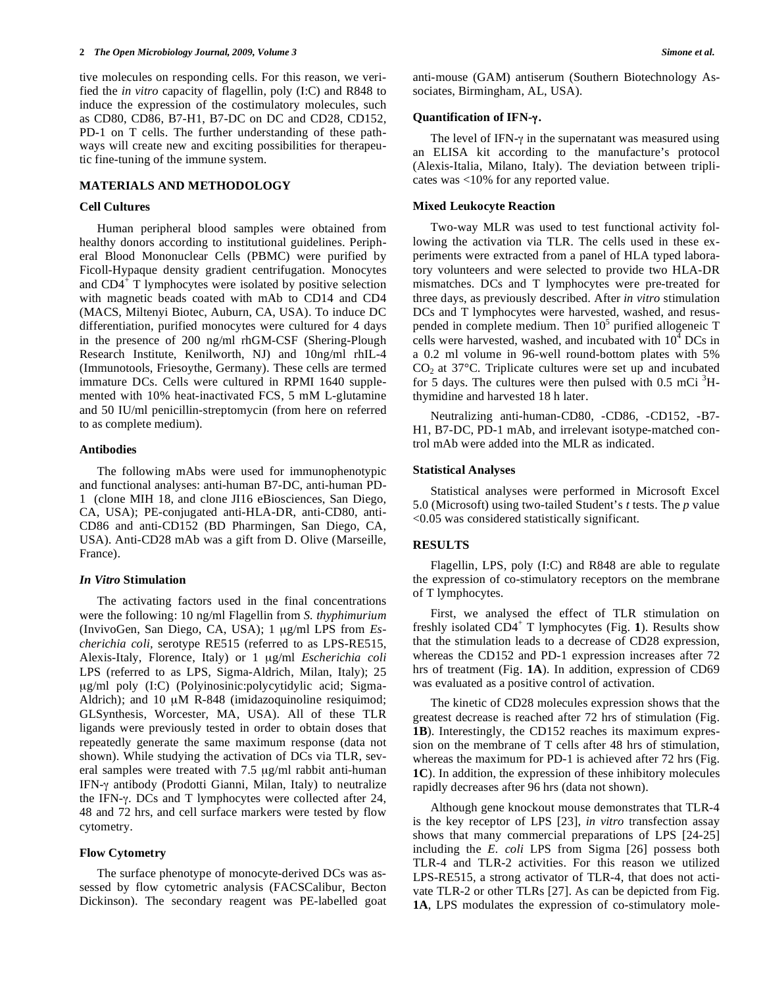tive molecules on responding cells. For this reason, we verified the *in vitro* capacity of flagellin, poly (I:C) and R848 to induce the expression of the costimulatory molecules, such as CD80, CD86, B7-H1, B7-DC on DC and CD28, CD152, PD-1 on T cells. The further understanding of these pathways will create new and exciting possibilities for therapeutic fine-tuning of the immune system.

# **MATERIALS AND METHODOLOGY**

#### **Cell Cultures**

Human peripheral blood samples were obtained from healthy donors according to institutional guidelines. Peripheral Blood Mononuclear Cells (PBMC) were purified by Ficoll-Hypaque density gradient centrifugation. Monocytes and CD4<sup>+</sup> T lymphocytes were isolated by positive selection with magnetic beads coated with mAb to CD14 and CD4 (MACS, Miltenyi Biotec, Auburn, CA, USA). To induce DC differentiation, purified monocytes were cultured for 4 days in the presence of 200 ng/ml rhGM-CSF (Shering-Plough Research Institute, Kenilworth, NJ) and 10ng/ml rhIL-4 (Immunotools, Friesoythe, Germany). These cells are termed immature DCs. Cells were cultured in RPMI 1640 supplemented with 10% heat-inactivated FCS, 5 mM L-glutamine and 50 IU/ml penicillin-streptomycin (from here on referred to as complete medium).

# **Antibodies**

The following mAbs were used for immunophenotypic and functional analyses: anti-human B7-DC, anti-human PD-1 (clone MIH 18, and clone JI16 eBiosciences, San Diego, CA, USA); PE-conjugated anti-HLA-DR, anti-CD80, anti-CD86 and anti-CD152 (BD Pharmingen, San Diego, CA, USA). Anti-CD28 mAb was a gift from D. Olive (Marseille, France).

### *In Vitro* **Stimulation**

The activating factors used in the final concentrations were the following: 10 ng/ml Flagellin from *S. thyphimurium* (InvivoGen, San Diego, CA, USA); 1 μg/ml LPS from *Escherichia coli,* serotype RE515 (referred to as LPS-RE515, Alexis-Italy, Florence, Italy) or 1 μg/ml *Escherichia coli*  LPS (referred to as LPS, Sigma-Aldrich, Milan, Italy); 25 μg/ml poly (I:C) (Polyinosinic:polycytidylic acid; Sigma-Aldrich); and 10 μM R-848 (imidazoquinoline resiquimod; GLSynthesis, Worcester, MA, USA). All of these TLR ligands were previously tested in order to obtain doses that repeatedly generate the same maximum response (data not shown). While studying the activation of DCs via TLR, several samples were treated with 7.5 μg/ml rabbit anti-human IFN- $\gamma$  antibody (Prodotti Gianni, Milan, Italy) to neutralize the IFN- $\gamma$ . DCs and T lymphocytes were collected after 24, 48 and 72 hrs, and cell surface markers were tested by flow cytometry.

### **Flow Cytometry**

The surface phenotype of monocyte-derived DCs was assessed by flow cytometric analysis (FACSCalibur, Becton Dickinson). The secondary reagent was PE-labelled goat anti-mouse (GAM) antiserum (Southern Biotechnology Associates, Birmingham, AL, USA).

#### **Quantification of IFN-.**

The level of IFN- $\gamma$  in the supernatant was measured using an ELISA kit according to the manufacture's protocol (Alexis-Italia, Milano, Italy). The deviation between triplicates was <10% for any reported value.

#### **Mixed Leukocyte Reaction**

Two-way MLR was used to test functional activity following the activation via TLR. The cells used in these experiments were extracted from a panel of HLA typed laboratory volunteers and were selected to provide two HLA-DR mismatches. DCs and T lymphocytes were pre-treated for three days, as previously described. After *in vitro* stimulation DCs and T lymphocytes were harvested, washed, and resuspended in complete medium. Then  $10^5$  purified allogeneic T cells were harvested, washed, and incubated with  $10^4$  DCs in a 0.2 ml volume in 96-well round-bottom plates with 5%  $CO<sub>2</sub>$  at 37 $^{\circ}$ C. Triplicate cultures were set up and incubated for 5 days. The cultures were then pulsed with  $0.5 \text{ mCi}^3\text{H}$ thymidine and harvested 18 h later.

Neutralizing anti-human-CD80, -CD86, -CD152, -B7- H1, B7-DC, PD-1 mAb, and irrelevant isotype-matched control mAb were added into the MLR as indicated.

#### **Statistical Analyses**

Statistical analyses were performed in Microsoft Excel 5.0 (Microsoft) using two-tailed Student's *t* tests. The *p* value <0.05 was considered statistically significant.

#### **RESULTS**

Flagellin, LPS, poly (I:C) and R848 are able to regulate the expression of co-stimulatory receptors on the membrane of T lymphocytes.

First, we analysed the effect of TLR stimulation on freshly isolated CD4<sup>+</sup> T lymphocytes (Fig. 1). Results show that the stimulation leads to a decrease of CD28 expression, whereas the CD152 and PD-1 expression increases after 72 hrs of treatment (Fig. **1A**). In addition, expression of CD69 was evaluated as a positive control of activation.

The kinetic of CD28 molecules expression shows that the greatest decrease is reached after 72 hrs of stimulation (Fig. **1B**). Interestingly, the CD152 reaches its maximum expression on the membrane of T cells after 48 hrs of stimulation, whereas the maximum for PD-1 is achieved after 72 hrs (Fig. **1C**). In addition, the expression of these inhibitory molecules rapidly decreases after 96 hrs (data not shown).

Although gene knockout mouse demonstrates that TLR-4 is the key receptor of LPS [23], *in vitro* transfection assay shows that many commercial preparations of LPS [24-25] including the *E. coli* LPS from Sigma [26] possess both TLR-4 and TLR-2 activities. For this reason we utilized LPS-RE515, a strong activator of TLR-4, that does not activate TLR-2 or other TLRs [27]. As can be depicted from Fig. **1A**, LPS modulates the expression of co-stimulatory mole-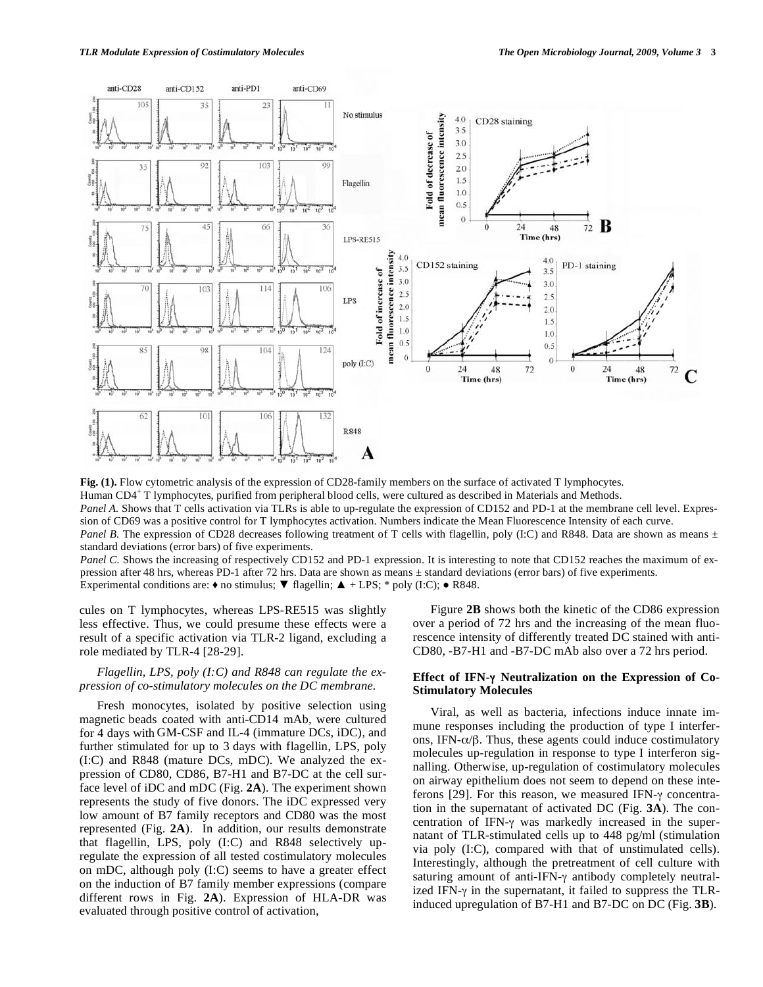

**Fig. (1).** Flow cytometric analysis of the expression of CD28-family members on the surface of activated T lymphocytes. Human CD4<sup>+</sup> T lymphocytes, purified from peripheral blood cells, were cultured as described in Materials and Methods. *Panel A.* Shows that T cells activation via TLRs is able to up-regulate the expression of CD152 and PD-1 at the membrane cell level. Expression of CD69 was a positive control for T lymphocytes activation. Numbers indicate the Mean Fluorescence Intensity of each curve. *Panel B.* The expression of CD28 decreases following treatment of T cells with flagellin, poly (I:C) and R848. Data are shown as means  $\pm$ standard deviations (error bars) of five experiments.

*Panel C.* Shows the increasing of respectively CD152 and PD-1 expression. It is interesting to note that CD152 reaches the maximum of expression after 48 hrs, whereas PD-1 after 72 hrs. Data are shown as means ± standard deviations (error bars) of five experiments. Experimental conditions are:  $\bullet$  no stimulus;  $\nabla$  flagellin;  $\blacktriangle$  + LPS; \* poly (I:C);  $\bullet$  R848.

cules on T lymphocytes, whereas LPS-RE515 was slightly less effective. Thus, we could presume these effects were a result of a specific activation via TLR-2 ligand, excluding a role mediated by TLR-4 [28-29].

# *Flagellin, LPS, poly (I:C) and R848 can regulate the expression of co-stimulatory molecules on the DC membrane.*

Fresh monocytes, isolated by positive selection using magnetic beads coated with anti-CD14 mAb, were cultured for 4 days with GM-CSF and IL-4 (immature DCs, iDC), and further stimulated for up to 3 days with flagellin, LPS, poly (I:C) and R848 (mature DCs, mDC). We analyzed the expression of CD80, CD86, B7-H1 and B7-DC at the cell surface level of iDC and mDC (Fig. **2A**). The experiment shown represents the study of five donors. The iDC expressed very low amount of B7 family receptors and CD80 was the most represented (Fig. **2A**). In addition, our results demonstrate that flagellin, LPS, poly (I:C) and R848 selectively upregulate the expression of all tested costimulatory molecules on mDC, although poly (I:C) seems to have a greater effect on the induction of B7 family member expressions (compare different rows in Fig. **2A**). Expression of HLA-DR was evaluated through positive control of activation,

Figure **2B** shows both the kinetic of the CD86 expression over a period of 72 hrs and the increasing of the mean fluorescence intensity of differently treated DC stained with anti-CD80, -B7-H1 and -B7-DC mAb also over a 72 hrs period.

## **Effect of IFN- Neutralization on the Expression of Co-Stimulatory Molecules**

Viral, as well as bacteria, infections induce innate immune responses including the production of type I interferons, IFN- $\alpha/\beta$ . Thus, these agents could induce costimulatory molecules up-regulation in response to type I interferon signalling. Otherwise, up-regulation of costimulatory molecules on airway epithelium does not seem to depend on these inteferons [29]. For this reason, we measured IFN- $\gamma$  concentration in the supernatant of activated DC (Fig. **3A**). The concentration of IFN- $\gamma$  was markedly increased in the supernatant of TLR-stimulated cells up to 448 pg/ml (stimulation via poly (I:C), compared with that of unstimulated cells). Interestingly, although the pretreatment of cell culture with saturing amount of anti-IFN- $\gamma$  antibody completely neutralized IFN- $\gamma$  in the supernatant, it failed to suppress the TLRinduced upregulation of B7-H1 and B7-DC on DC (Fig. **3B**).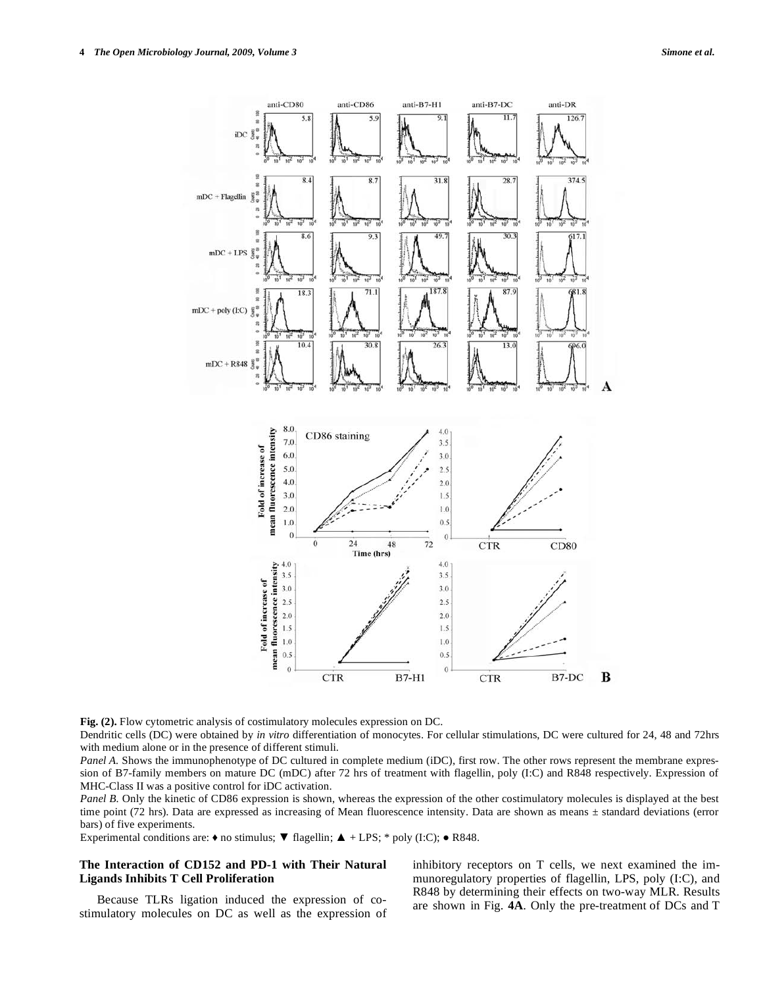

Fig. (2). Flow cytometric analysis of costimulatory molecules expression on DC.

Dendritic cells (DC) were obtained by *in vitro* differentiation of monocytes. For cellular stimulations, DC were cultured for 24, 48 and 72hrs with medium alone or in the presence of different stimuli.

*Panel A.* Shows the immunophenotype of DC cultured in complete medium (iDC), first row. The other rows represent the membrane expression of B7-family members on mature DC (mDC) after 72 hrs of treatment with flagellin, poly (I:C) and R848 respectively. Expression of MHC-Class II was a positive control for iDC activation.

*Panel B.* Only the kinetic of CD86 expression is shown, whereas the expression of the other costimulatory molecules is displayed at the best time point (72 hrs). Data are expressed as increasing of Mean fluorescence intensity. Data are shown as means  $\pm$  standard deviations (error bars) of five experiments.

Experimental conditions are:  $\bullet$  no stimulus;  $\nabla$  flagellin;  $\blacktriangle$  + LPS; \* poly (I:C);  $\bullet$  R848.

# **The Interaction of CD152 and PD-1 with Their Natural Ligands Inhibits T Cell Proliferation**

Because TLRs ligation induced the expression of costimulatory molecules on DC as well as the expression of inhibitory receptors on T cells, we next examined the immunoregulatory properties of flagellin, LPS, poly (I:C), and R848 by determining their effects on two-way MLR. Results are shown in Fig. **4A**. Only the pre-treatment of DCs and T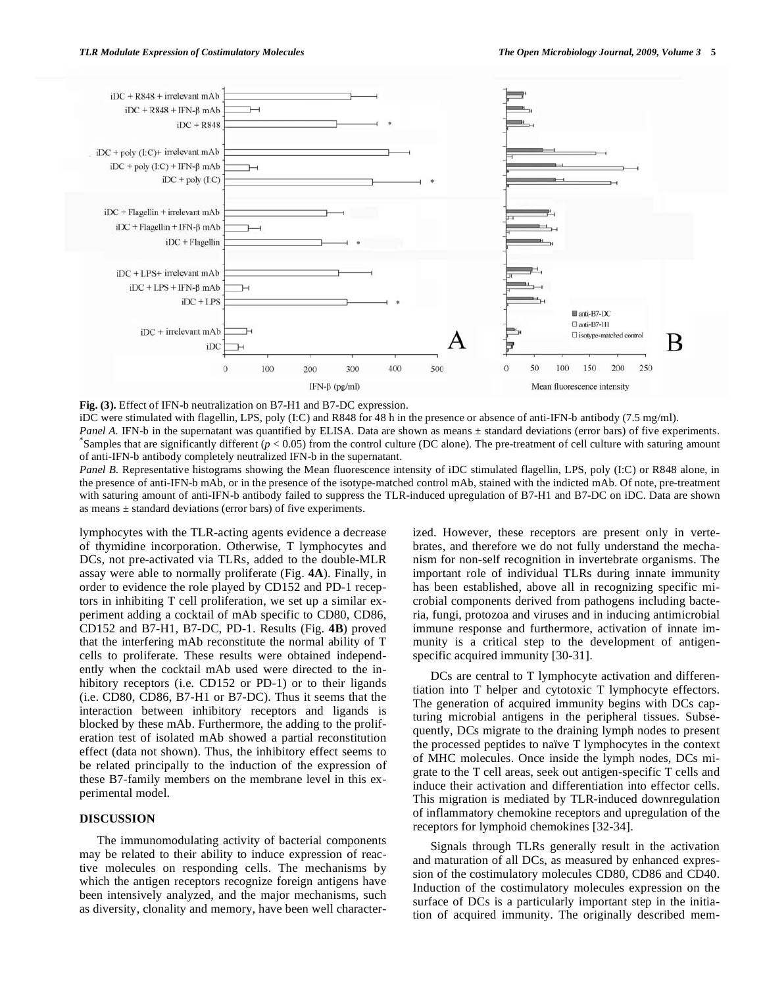

**Fig. (3).** Effect of IFN-b neutralization on B7-H1 and B7-DC expression.

iDC were stimulated with flagellin, LPS, poly (I:C) and R848 for 48 h in the presence or absence of anti-IFN-b antibody (7.5 mg/ml). *Panel A.* IFN-b in the supernatant was quantified by ELISA. Data are shown as means  $\pm$  standard deviations (error bars) of five experiments. Samples that are significantly different  $(p < 0.05)$  from the control culture (DC alone). The pre-treatment of cell culture with saturing amount of anti-IFN-b antibody completely neutralized IFN-b in the supernatant.

*Panel B.* Representative histograms showing the Mean fluorescence intensity of iDC stimulated flagellin, LPS, poly (I:C) or R848 alone, in the presence of anti-IFN-b mAb, or in the presence of the isotype-matched control mAb, stained with the indicted mAb. Of note, pre-treatment with saturing amount of anti-IFN-b antibody failed to suppress the TLR-induced upregulation of B7-H1 and B7-DC on iDC. Data are shown as means  $\pm$  standard deviations (error bars) of five experiments.

lymphocytes with the TLR-acting agents evidence a decrease of thymidine incorporation. Otherwise, T lymphocytes and DCs, not pre-activated via TLRs, added to the double-MLR assay were able to normally proliferate (Fig. **4A**). Finally, in order to evidence the role played by CD152 and PD-1 receptors in inhibiting T cell proliferation, we set up a similar experiment adding a cocktail of mAb specific to CD80, CD86, CD152 and B7-H1, B7-DC, PD-1. Results (Fig. **4B**) proved that the interfering mAb reconstitute the normal ability of T cells to proliferate. These results were obtained independently when the cocktail mAb used were directed to the inhibitory receptors (i.e. CD152 or PD-1) or to their ligands (i.e. CD80, CD86, B7-H1 or B7-DC). Thus it seems that the interaction between inhibitory receptors and ligands is blocked by these mAb. Furthermore, the adding to the proliferation test of isolated mAb showed a partial reconstitution effect (data not shown). Thus, the inhibitory effect seems to be related principally to the induction of the expression of these B7-family members on the membrane level in this experimental model.

# **DISCUSSION**

The immunomodulating activity of bacterial components may be related to their ability to induce expression of reactive molecules on responding cells. The mechanisms by which the antigen receptors recognize foreign antigens have been intensively analyzed, and the major mechanisms, such as diversity, clonality and memory, have been well characterized. However, these receptors are present only in vertebrates, and therefore we do not fully understand the mechanism for non-self recognition in invertebrate organisms. The important role of individual TLRs during innate immunity has been established, above all in recognizing specific microbial components derived from pathogens including bacteria, fungi, protozoa and viruses and in inducing antimicrobial immune response and furthermore, activation of innate immunity is a critical step to the development of antigenspecific acquired immunity [30-31].

DCs are central to T lymphocyte activation and differentiation into T helper and cytotoxic T lymphocyte effectors. The generation of acquired immunity begins with DCs capturing microbial antigens in the peripheral tissues. Subsequently, DCs migrate to the draining lymph nodes to present the processed peptides to naïve T lymphocytes in the context of MHC molecules. Once inside the lymph nodes, DCs migrate to the T cell areas, seek out antigen-specific T cells and induce their activation and differentiation into effector cells. This migration is mediated by TLR-induced downregulation of inflammatory chemokine receptors and upregulation of the receptors for lymphoid chemokines [32-34].

Signals through TLRs generally result in the activation and maturation of all DCs, as measured by enhanced expression of the costimulatory molecules CD80, CD86 and CD40. Induction of the costimulatory molecules expression on the surface of DCs is a particularly important step in the initiation of acquired immunity. The originally described mem-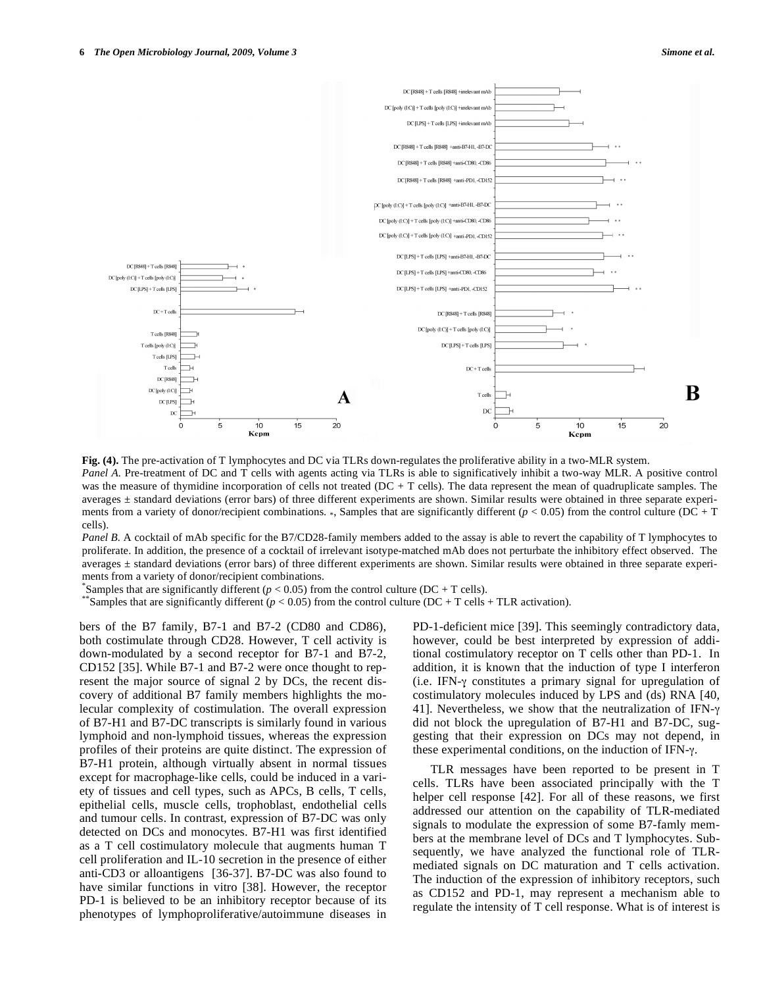

**Fig. (4).** The pre-activation of T lymphocytes and DC via TLRs down-regulates the proliferative ability in a two-MLR system. *Panel A.* Pre-treatment of DC and T cells with agents acting via TLRs is able to significatively inhibit a two-way MLR. A positive control was the measure of thymidine incorporation of cells not treated (DC + T cells). The data represent the mean of quadruplicate samples. The averages ± standard deviations (error bars) of three different experiments are shown. Similar results were obtained in three separate experiments from a variety of donor/recipient combinations. \*, Samples that are significantly different  $(p < 0.05)$  from the control culture (DC + T cells).

*Panel B.* A cocktail of mAb specific for the B7/CD28-family members added to the assay is able to revert the capability of T lymphocytes to proliferate. In addition, the presence of a cocktail of irrelevant isotype-matched mAb does not perturbate the inhibitory effect observed. The averages ± standard deviations (error bars) of three different experiments are shown. Similar results were obtained in three separate experiments from a variety of donor/recipient combinations.

Samples that are significantly different ( $p < 0.05$ ) from the control culture (DC + T cells).

Samples that are significantly different ( $p < 0.05$ ) from the control culture (DC + T cells + TLR activation).

bers of the B7 family, B7-1 and B7-2 (CD80 and CD86), both costimulate through CD28. However, T cell activity is down-modulated by a second receptor for B7-1 and B7-2, CD152 [35]. While B7-1 and B7-2 were once thought to represent the major source of signal 2 by DCs, the recent discovery of additional B7 family members highlights the molecular complexity of costimulation. The overall expression of B7-H1 and B7-DC transcripts is similarly found in various lymphoid and non-lymphoid tissues, whereas the expression profiles of their proteins are quite distinct. The expression of B7-H1 protein, although virtually absent in normal tissues except for macrophage-like cells, could be induced in a variety of tissues and cell types, such as APCs, B cells, T cells, epithelial cells, muscle cells, trophoblast, endothelial cells and tumour cells. In contrast, expression of B7-DC was only detected on DCs and monocytes. B7-H1 was first identified as a T cell costimulatory molecule that augments human T cell proliferation and IL-10 secretion in the presence of either anti-CD3 or alloantigens [36-37]. B7-DC was also found to have similar functions in vitro [38]. However, the receptor PD-1 is believed to be an inhibitory receptor because of its phenotypes of lymphoproliferative/autoimmune diseases in

PD-1-deficient mice [39]. This seemingly contradictory data, however, could be best interpreted by expression of additional costimulatory receptor on T cells other than PD-1. In addition, it is known that the induction of type I interferon (i.e. IFN- $\gamma$  constitutes a primary signal for upregulation of costimulatory molecules induced by LPS and (ds) RNA [40, 41]. Nevertheless, we show that the neutralization of IFN- $\gamma$ did not block the upregulation of B7-H1 and B7-DC, suggesting that their expression on DCs may not depend, in these experimental conditions, on the induction of IFN- $\gamma$ .

TLR messages have been reported to be present in T cells. TLRs have been associated principally with the T helper cell response [42]. For all of these reasons, we first addressed our attention on the capability of TLR-mediated signals to modulate the expression of some B7-famly members at the membrane level of DCs and T lymphocytes. Subsequently, we have analyzed the functional role of TLRmediated signals on DC maturation and T cells activation. The induction of the expression of inhibitory receptors, such as CD152 and PD-1, may represent a mechanism able to regulate the intensity of T cell response. What is of interest is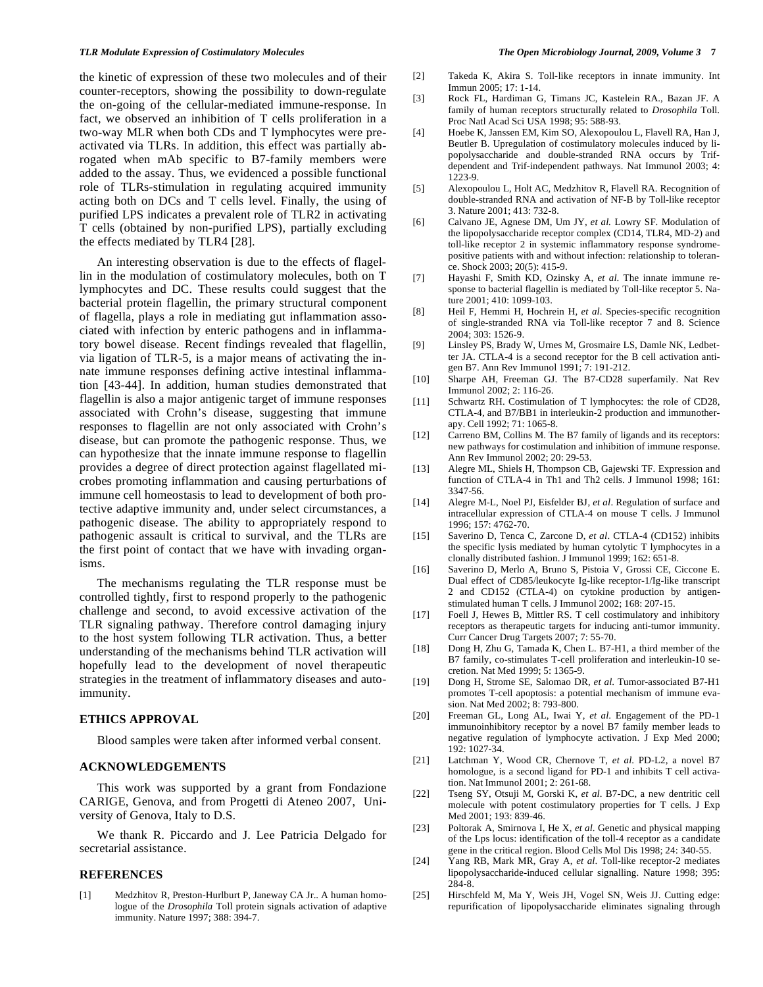the kinetic of expression of these two molecules and of their counter-receptors, showing the possibility to down-regulate the on-going of the cellular-mediated immune-response. In fact, we observed an inhibition of T cells proliferation in a two-way MLR when both CDs and T lymphocytes were preactivated via TLRs. In addition, this effect was partially abrogated when mAb specific to B7-family members were added to the assay. Thus, we evidenced a possible functional role of TLRs-stimulation in regulating acquired immunity acting both on DCs and T cells level. Finally, the using of purified LPS indicates a prevalent role of TLR2 in activating T cells (obtained by non-purified LPS), partially excluding the effects mediated by TLR4 [28].

An interesting observation is due to the effects of flagellin in the modulation of costimulatory molecules, both on T lymphocytes and DC. These results could suggest that the bacterial protein flagellin, the primary structural component of flagella, plays a role in mediating gut inflammation associated with infection by enteric pathogens and in inflammatory bowel disease. Recent findings revealed that flagellin, via ligation of TLR-5, is a major means of activating the innate immune responses defining active intestinal inflammation [43-44]. In addition, human studies demonstrated that flagellin is also a major antigenic target of immune responses associated with Crohn's disease, suggesting that immune responses to flagellin are not only associated with Crohn's disease, but can promote the pathogenic response. Thus, we can hypothesize that the innate immune response to flagellin provides a degree of direct protection against flagellated microbes promoting inflammation and causing perturbations of immune cell homeostasis to lead to development of both protective adaptive immunity and, under select circumstances, a pathogenic disease. The ability to appropriately respond to pathogenic assault is critical to survival, and the TLRs are the first point of contact that we have with invading organisms.

The mechanisms regulating the TLR response must be controlled tightly, first to respond properly to the pathogenic challenge and second, to avoid excessive activation of the TLR signaling pathway. Therefore control damaging injury to the host system following TLR activation. Thus, a better understanding of the mechanisms behind TLR activation will hopefully lead to the development of novel therapeutic strategies in the treatment of inflammatory diseases and autoimmunity.

# **ETHICS APPROVAL**

Blood samples were taken after informed verbal consent.

# **ACKNOWLEDGEMENTS**

This work was supported by a grant from Fondazione CARIGE, Genova, and from Progetti di Ateneo 2007, University of Genova, Italy to D.S.

We thank R. Piccardo and J. Lee Patricia Delgado for secretarial assistance.

### **REFERENCES**

[1] Medzhitov R, Preston-Hurlburt P, Janeway CA Jr.. A human homologue of the *Drosophila* Toll protein signals activation of adaptive immunity. Nature 1997; 388: 394-7.

- [2] Takeda K, Akira S. Toll-like receptors in innate immunity. Int Immun 2005; 17: 1-14.
- [3] Rock FL, Hardiman G, Timans JC, Kastelein RA., Bazan JF. A family of human receptors structurally related to *Drosophila* Toll. Proc Natl Acad Sci USA 1998; 95: 588-93.
- [4] Hoebe K, Janssen EM, Kim SO, Alexopoulou L, Flavell RA, Han J, Beutler B. Upregulation of costimulatory molecules induced by lipopolysaccharide and double-stranded RNA occurs by Trifdependent and Trif-independent pathways. Nat Immunol 2003; 4: 1223-9.
- [5] Alexopoulou L, Holt AC, Medzhitov R, Flavell RA. Recognition of double-stranded RNA and activation of NF-B by Toll-like receptor 3. Nature 2001; 413: 732-8.
- [6] Calvano JE, Agnese DM, Um JY, *et al.* Lowry SF. Modulation of the lipopolysaccharide receptor complex (CD14, TLR4, MD-2) and toll-like receptor 2 in systemic inflammatory response syndromepositive patients with and without infection: relationship to tolerance. Shock 2003; 20(5): 415-9.
- [7] Hayashi F, Smith KD, Ozinsky A, *et al*. The innate immune response to bacterial flagellin is mediated by Toll-like receptor 5. Nature 2001; 410: 1099-103.
- [8] Heil F, Hemmi H, Hochrein H, *et al*. Species-specific recognition of single-stranded RNA via Toll-like receptor 7 and 8. Science 2004; 303: 1526-9.
- [9] Linsley PS, Brady W, Urnes M, Grosmaire LS, Damle NK, Ledbetter JA. CTLA-4 is a second receptor for the B cell activation antigen B7. Ann Rev Immunol 1991; 7: 191-212.
- [10] Sharpe AH, Freeman GJ. The B7-CD28 superfamily. Nat Rev Immunol 2002; 2: 116-26.
- [11] Schwartz RH. Costimulation of T lymphocytes: the role of CD28, CTLA-4, and B7/BB1 in interleukin-2 production and immunotherapy. Cell 1992; 71: 1065-8.
- [12] Carreno BM, Collins M. The B7 family of ligands and its receptors: new pathways for costimulation and inhibition of immune response. Ann Rev Immunol 2002; 20: 29-53.
- [13] Alegre ML, Shiels H, Thompson CB, Gajewski TF. Expression and function of CTLA-4 in Th1 and Th2 cells. J Immunol 1998; 161: 3347-56.
- [14] Alegre M-L, Noel PJ, Eisfelder BJ, *et al*. Regulation of surface and intracellular expression of CTLA-4 on mouse T cells. J Immunol 1996; 157: 4762-70.
- [15] Saverino D, Tenca C, Zarcone D, *et al*. CTLA-4 (CD152) inhibits the specific lysis mediated by human cytolytic T lymphocytes in a clonally distributed fashion. J Immunol 1999; 162: 651-8.
- [16] Saverino D, Merlo A, Bruno S, Pistoia V, Grossi CE, Ciccone E. Dual effect of CD85/leukocyte Ig-like receptor-1/Ig-like transcript 2 and CD152 (CTLA-4) on cytokine production by antigenstimulated human T cells. J Immunol 2002; 168: 207-15.
- [17] Foell J, Hewes B, Mittler RS. T cell costimulatory and inhibitory receptors as therapeutic targets for inducing anti-tumor immunity. Curr Cancer Drug Targets 2007; 7: 55-70.
- [18] Dong H, Zhu G, Tamada K, Chen L. B7-H1, a third member of the B7 family, co-stimulates T-cell proliferation and interleukin-10 secretion. Nat Med 1999; 5: 1365-9.
- [19] Dong H, Strome SE, Salomao DR, *et al*. Tumor-associated B7-H1 promotes T-cell apoptosis: a potential mechanism of immune evasion. Nat Med 2002; 8: 793-800.
- [20] Freeman GL, Long AL, Iwai Y, *et al*. Engagement of the PD-1 immunoinhibitory receptor by a novel B7 family member leads to negative regulation of lymphocyte activation. J Exp Med 2000; 192: 1027-34.
- [21] Latchman Y, Wood CR, Chernove T, *et al*. PD-L2, a novel B7 homologue, is a second ligand for PD-1 and inhibits T cell activation. Nat Immunol 2001; 2: 261-68.
- [22] Tseng SY, Otsuji M, Gorski K, *et al*. B7-DC, a new dentritic cell molecule with potent costimulatory properties for T cells. J Exp Med 2001; 193: 839-46.
- [23] Poltorak A, Smirnova I, He X, *et al*. Genetic and physical mapping of the Lps locus: identification of the toll-4 receptor as a candidate gene in the critical region. Blood Cells Mol Dis 1998; 24: 340-55.
- [24] Yang RB, Mark MR, Gray A, *et al*. Toll-like receptor-2 mediates lipopolysaccharide-induced cellular signalling. Nature 1998; 395: 284-8.
- [25] Hirschfeld M, Ma Y, Weis JH, Vogel SN, Weis JJ. Cutting edge: repurification of lipopolysaccharide eliminates signaling through